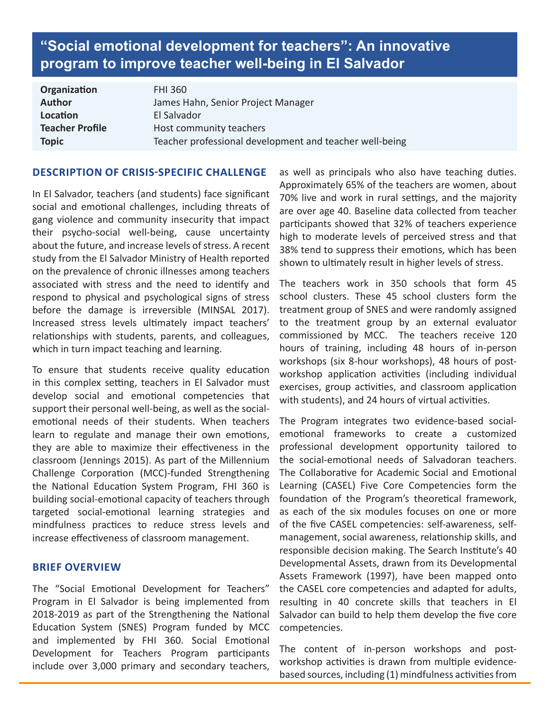# **"Social emotional development for teachers": An innovative program to improve teacher well-being in El Salvador**

| Organization           | <b>FHI 360</b>                                          |
|------------------------|---------------------------------------------------------|
| <b>Author</b>          | James Hahn, Senior Project Manager                      |
| Location               | El Salvador                                             |
| <b>Teacher Profile</b> | Host community teachers                                 |
| <b>Topic</b>           | Teacher professional development and teacher well-being |

### **DESCRIPTION OF CRISIS-SPECIFIC CHALLENGE**

In El Salvador, teachers (and students) face significant social and emotional challenges, including threats of gang violence and community insecurity that impact their psycho-social well-being, cause uncertainty about the future, and increase levels of stress. A recent study from the El Salvador Ministry of Health reported on the prevalence of chronic illnesses among teachers associated with stress and the need to identify and respond to physical and psychological signs of stress before the damage is irreversible (MINSAL 2017). Increased stress levels ultimately impact teachers' relationships with students, parents, and colleagues, which in turn impact teaching and learning.

To ensure that students receive quality education in this complex setting, teachers in El Salvador must develop social and emotional competencies that support their personal well-being, as well as the socialemotional needs of their students. When teachers learn to regulate and manage their own emotions, they are able to maximize their effectiveness in the classroom (Jennings 2015). As part of the Millennium Challenge Corporation (MCC)-funded Strengthening the National Education System Program, FHI 360 is building social-emotional capacity of teachers through targeted social-emotional learning strategies and mindfulness practices to reduce stress levels and increase effectiveness of classroom management.

#### **BRIEF OVERVIEW**

The "Social Emotional Development for Teachers" Program in El Salvador is being implemented from 2018-2019 as part of the Strengthening the National Education System (SNES) Program funded by MCC and implemented by FHI 360. Social Emotional Development for Teachers Program participants include over 3,000 primary and secondary teachers,

as well as principals who also have teaching duties. Approximately 65% of the teachers are women, about 70% live and work in rural settings, and the majority are over age 40. Baseline data collected from teacher participants showed that 32% of teachers experience high to moderate levels of perceived stress and that 38% tend to suppress their emotions, which has been shown to ultimately result in higher levels of stress.

The teachers work in 350 schools that form 45 school clusters. These 45 school clusters form the treatment group of SNES and were randomly assigned to the treatment group by an external evaluator commissioned by MCC. The teachers receive 120 hours of training, including 48 hours of in-person workshops (six 8-hour workshops), 48 hours of postworkshop application activities (including individual exercises, group activities, and classroom application with students), and 24 hours of virtual activities.

The Program integrates two evidence-based socialemotional frameworks to create a customized professional development opportunity tailored to the social-emotional needs of Salvadoran teachers. The Collaborative for Academic Social and Emotional Learning (CASEL) Five Core Competencies form the foundation of the Program's theoretical framework, as each of the six modules focuses on one or more of the five CASEL competencies: self-awareness, selfmanagement, social awareness, relationship skills, and responsible decision making. The Search Institute's 40 Developmental Assets, drawn from its Developmental Assets Framework (1997), have been mapped onto the CASEL core competencies and adapted for adults, resulting in 40 concrete skills that teachers in El Salvador can build to help them develop the five core competencies.

The content of in-person workshops and postworkshop activities is drawn from multiple evidencebased sources, including (1) mindfulness activities from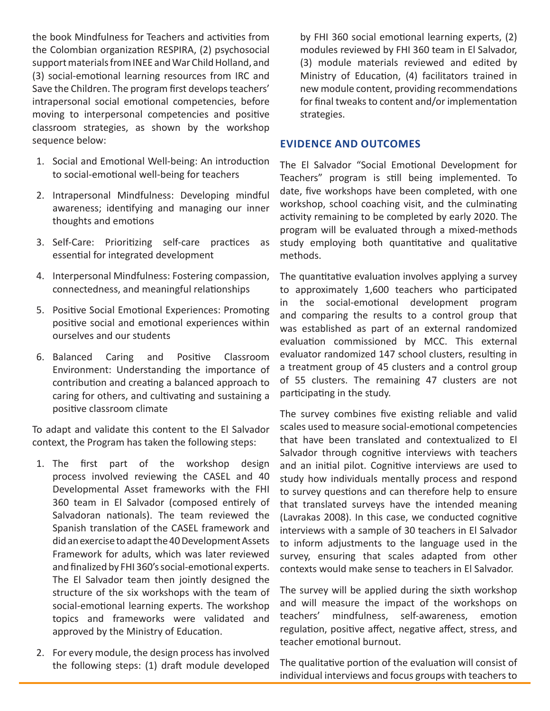the book Mindfulness for Teachers and activities from the Colombian organization RESPIRA, (2) psychosocial support materials from INEE and War Child Holland, and (3) social-emotional learning resources from IRC and Save the Children. The program first develops teachers' intrapersonal social emotional competencies, before moving to interpersonal competencies and positive classroom strategies, as shown by the workshop sequence below:

- 1. Social and Emotional Well-being: An introduction to social-emotional well-being for teachers
- 2. Intrapersonal Mindfulness: Developing mindful awareness; identifying and managing our inner thoughts and emotions
- 3. Self-Care: Prioritizing self-care practices as essential for integrated development
- 4. Interpersonal Mindfulness: Fostering compassion, connectedness, and meaningful relationships
- 5. Positive Social Emotional Experiences: Promoting positive social and emotional experiences within ourselves and our students
- 6. Balanced Caring and Positive Classroom Environment: Understanding the importance of contribution and creating a balanced approach to caring for others, and cultivating and sustaining a positive classroom climate

To adapt and validate this content to the El Salvador context, the Program has taken the following steps:

- 1. The first part of the workshop design process involved reviewing the CASEL and 40 Developmental Asset frameworks with the FHI 360 team in El Salvador (composed entirely of Salvadoran nationals). The team reviewed the Spanish translation of the CASEL framework and did an exercise to adapt the 40 Development Assets Framework for adults, which was later reviewed and finalized by FHI 360's social-emotional experts. The El Salvador team then jointly designed the structure of the six workshops with the team of social-emotional learning experts. The workshop topics and frameworks were validated and approved by the Ministry of Education.
- 2. For every module, the design process has involved the following steps: (1) draft module developed

by FHI 360 social emotional learning experts, (2) modules reviewed by FHI 360 team in El Salvador, (3) module materials reviewed and edited by Ministry of Education, (4) facilitators trained in new module content, providing recommendations for final tweaks to content and/or implementation strategies.

### **EVIDENCE AND OUTCOMES**

The El Salvador "Social Emotional Development for Teachers" program is still being implemented. To date, five workshops have been completed, with one workshop, school coaching visit, and the culminating activity remaining to be completed by early 2020. The program will be evaluated through a mixed-methods study employing both quantitative and qualitative methods.

The quantitative evaluation involves applying a survey to approximately 1,600 teachers who participated in the social-emotional development program and comparing the results to a control group that was established as part of an external randomized evaluation commissioned by MCC. This external evaluator randomized 147 school clusters, resulting in a treatment group of 45 clusters and a control group of 55 clusters. The remaining 47 clusters are not participating in the study.

The survey combines five existing reliable and valid scales used to measure social-emotional competencies that have been translated and contextualized to El Salvador through cognitive interviews with teachers and an initial pilot. Cognitive interviews are used to study how individuals mentally process and respond to survey questions and can therefore help to ensure that translated surveys have the intended meaning (Lavrakas 2008). In this case, we conducted cognitive interviews with a sample of 30 teachers in El Salvador to inform adjustments to the language used in the survey, ensuring that scales adapted from other contexts would make sense to teachers in El Salvador.

The survey will be applied during the sixth workshop and will measure the impact of the workshops on teachers' mindfulness, self-awareness, emotion regulation, positive affect, negative affect, stress, and teacher emotional burnout.

The qualitative portion of the evaluation will consist of individual interviews and focus groups with teachers to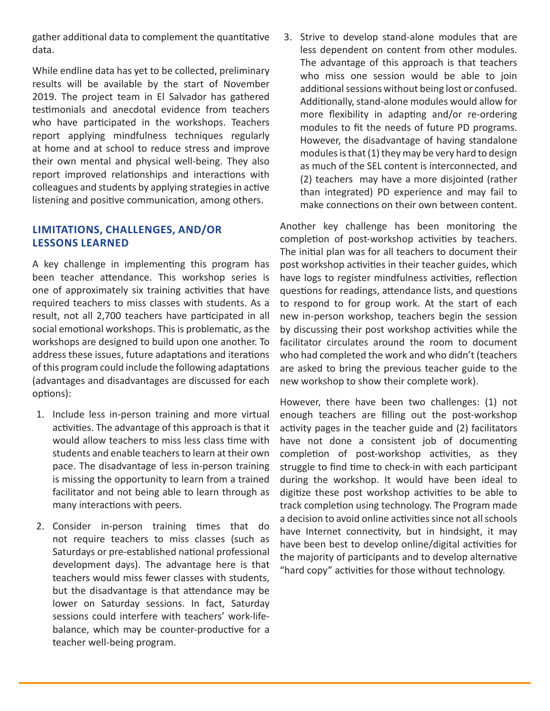gather additional data to complement the quantitative data.

While endline data has yet to be collected, preliminary results will be available by the start of November 2019. The project team in El Salvador has gathered testimonials and anecdotal evidence from teachers who have participated in the workshops. Teachers report applying mindfulness techniques regularly at home and at school to reduce stress and improve their own mental and physical well-being. They also report improved relationships and interactions with colleagues and students by applying strategies in active listening and positive communication, among others.

# **LIMITATIONS, CHALLENGES, AND/OR LESSONS LEARNED**

A key challenge in implementing this program has been teacher attendance. This workshop series is one of approximately six training activities that have required teachers to miss classes with students. As a result, not all 2,700 teachers have participated in all social emotional workshops. This is problematic, as the workshops are designed to build upon one another. To address these issues, future adaptations and iterations of this program could include the following adaptations (advantages and disadvantages are discussed for each options):

- 1. Include less in-person training and more virtual activities. The advantage of this approach is that it would allow teachers to miss less class time with students and enable teachers to learn at their own pace. The disadvantage of less in-person training is missing the opportunity to learn from a trained facilitator and not being able to learn through as many interactions with peers.
- 2. Consider in-person training times that do not require teachers to miss classes (such as Saturdays or pre-established national professional development days). The advantage here is that teachers would miss fewer classes with students, but the disadvantage is that attendance may be lower on Saturday sessions. In fact, Saturday sessions could interfere with teachers' work-lifebalance, which may be counter-productive for a teacher well-being program.

3. Strive to develop stand-alone modules that are less dependent on content from other modules. The advantage of this approach is that teachers who miss one session would be able to join additional sessions without being lost or confused. Additionally, stand-alone modules would allow for more flexibility in adapting and/or re-ordering modules to fit the needs of future PD programs. However, the disadvantage of having standalone modules is that (1) they may be very hard to design as much of the SEL content is interconnected, and (2) teachers may have a more disjointed (rather than integrated) PD experience and may fail to make connections on their own between content.

Another key challenge has been monitoring the completion of post-workshop activities by teachers. The initial plan was for all teachers to document their post workshop activities in their teacher guides, which have logs to register mindfulness activities, reflection questions for readings, attendance lists, and questions to respond to for group work. At the start of each new in-person workshop, teachers begin the session by discussing their post workshop activities while the facilitator circulates around the room to document who had completed the work and who didn't (teachers are asked to bring the previous teacher guide to the new workshop to show their complete work).

However, there have been two challenges: (1) not enough teachers are filling out the post-workshop activity pages in the teacher guide and (2) facilitators have not done a consistent job of documenting completion of post-workshop activities, as they struggle to find time to check-in with each participant during the workshop. It would have been ideal to digitize these post workshop activities to be able to track completion using technology. The Program made a decision to avoid online activities since not all schools have Internet connectivity, but in hindsight, it may have been best to develop online/digital activities for the majority of participants and to develop alternative "hard copy" activities for those without technology.